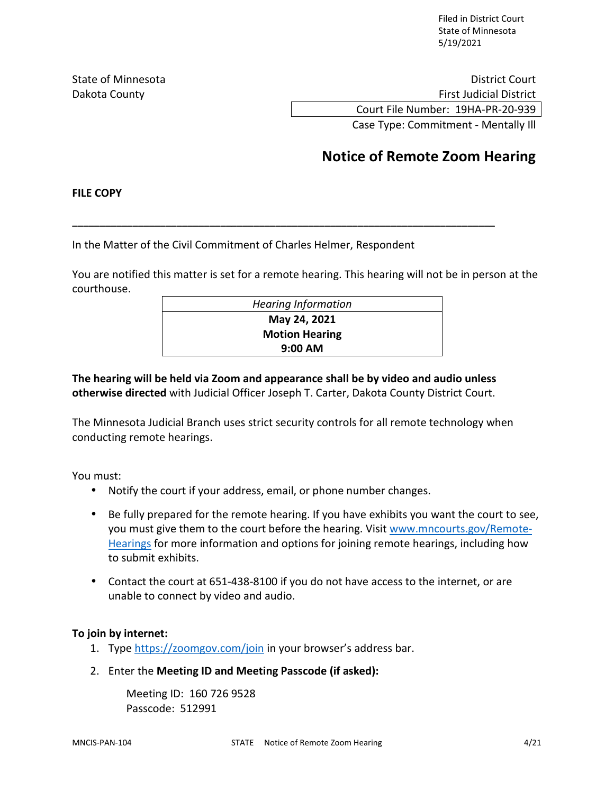Filed in District Court State of Minnesota 5/19/2021

State of Minnesota **District Court** District Court Dakota County **First Judicial District County First Judicial District** Court File Number: 19HA-PR-20-939

Case Type: Commitment - Mentally Ill

# **Notice of Remote Zoom Hearing**

### **FILE COPY**

In the Matter of the Civil Commitment of Charles Helmer, Respondent

You are notified this matter is set for a remote hearing. This hearing will not be in person at the courthouse.

**\_\_\_\_\_\_\_\_\_\_\_\_\_\_\_\_\_\_\_\_\_\_\_\_\_\_\_\_\_\_\_\_\_\_\_\_\_\_\_\_\_\_\_\_\_\_\_\_\_\_\_\_\_\_\_\_\_\_\_\_\_\_\_\_\_\_\_\_\_\_\_\_\_\_\_\_\_** 

| <b>Hearing Information</b> |
|----------------------------|
| May 24, 2021               |
| <b>Motion Hearing</b>      |
| $9:00$ AM                  |

## **The hearing will be held via Zoom and appearance shall be by video and audio unless otherwise directed** with Judicial Officer Joseph T. Carter, Dakota County District Court.

The Minnesota Judicial Branch uses strict security controls for all remote technology when conducting remote hearings.

You must:

- Notify the court if your address, email, or phone number changes.
- Be fully prepared for the remote hearing. If you have exhibits you want the court to see, you must give them to the court before the hearing. Visit www.mncourts.gov/Remote-Hearings for more information and options for joining remote hearings, including how to submit exhibits.
- Contact the court at 651-438-8100 if you do not have access to the internet, or are unable to connect by video and audio.

## **To join by internet:**

- 1. Type https://zoomgov.com/join in your browser's address bar.
- 2. Enter the **Meeting ID and Meeting Passcode (if asked):**

Meeting ID: 160 726 9528 Passcode: 512991